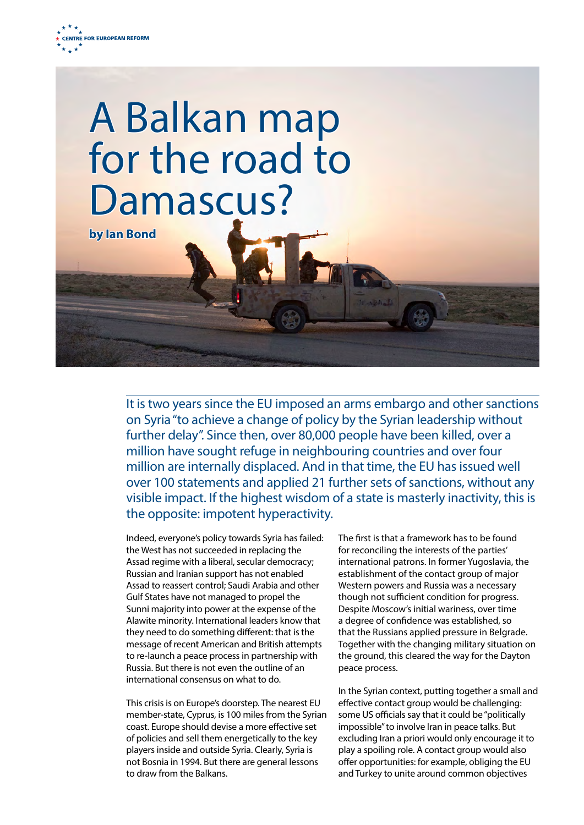



It is two years since the EU imposed an arms embargo and other sanctions on Syria "to achieve a change of policy by the Syrian leadership without further delay". Since then, over 80,000 people have been killed, over a million have sought refuge in neighbouring countries and over four million are internally displaced. And in that time, the EU has issued well over 100 statements and applied 21 further sets of sanctions, without any visible impact. If the highest wisdom of a state is masterly inactivity, this is the opposite: impotent hyperactivity.

Indeed, everyone's policy towards Syria has failed: the West has not succeeded in replacing the Assad regime with a liberal, secular democracy; Russian and Iranian support has not enabled Assad to reassert control; Saudi Arabia and other Gulf States have not managed to propel the Sunni majority into power at the expense of the Alawite minority. International leaders know that they need to do something different: that is the message of recent American and British attempts to re-launch a peace process in partnership with Russia. But there is not even the outline of an international consensus on what to do.

This crisis is on Europe's doorstep. The nearest EU member-state, Cyprus, is 100 miles from the Syrian coast. Europe should devise a more effective set of policies and sell them energetically to the key players inside and outside Syria. Clearly, Syria is not Bosnia in 1994. But there are general lessons to draw from the Balkans.

The first is that a framework has to be found for reconciling the interests of the parties' international patrons. In former Yugoslavia, the establishment of the contact group of major Western powers and Russia was a necessary though not sufficient condition for progress. Despite Moscow's initial wariness, over time a degree of confidence was established, so that the Russians applied pressure in Belgrade. Together with the changing military situation on the ground, this cleared the way for the Dayton peace process.

In the Syrian context, putting together a small and effective contact group would be challenging: some US officials say that it could be "politically impossible" to involve Iran in peace talks. But excluding Iran a priori would only encourage it to play a spoiling role. A contact group would also offer opportunities: for example, obliging the EU and Turkey to unite around common objectives